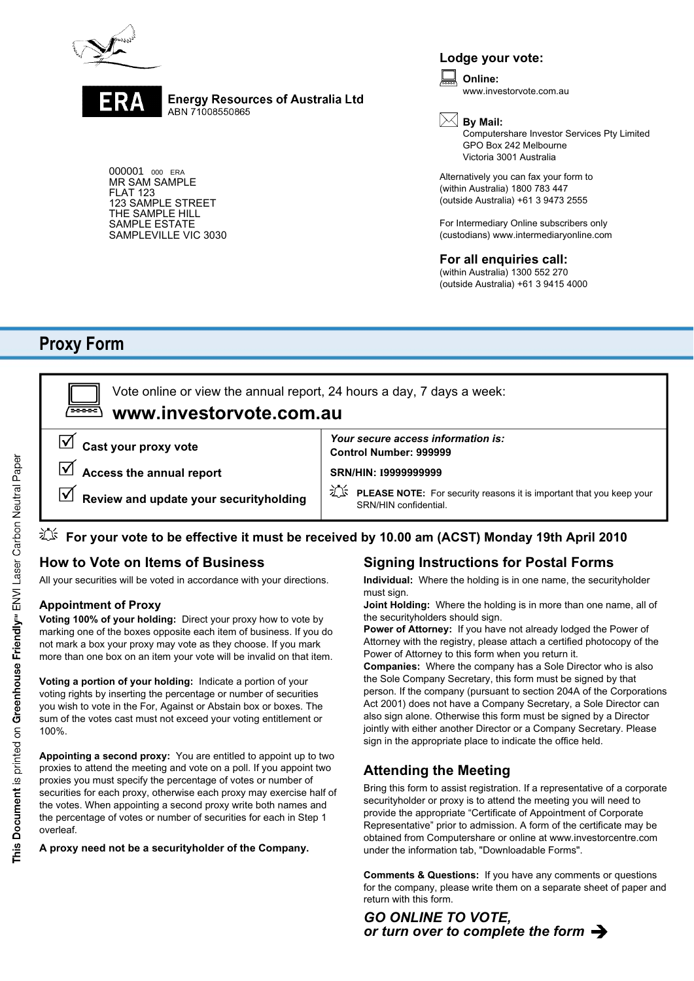

**Energy Resources of Australia Ltd** ABN 71008550865

000001 000 ERA MR SAM SAMPLE FLAT 123 123 SAMPLE STREET THE SAMPLE HILL SAMPLE ESTATE SAMPLEVILLE VIC 3030

### **Lodge your vote:**

**Online:** www.investorvote.com.au

# **By Mail:**

Computershare Investor Services Pty Limited GPO Box 242 Melbourne Victoria 3001 Australia

Alternatively you can fax your form to (within Australia) 1800 783 447 (outside Australia) +61 3 9473 2555

For Intermediary Online subscribers only (custodians) www.intermediaryonline.com

#### **For all enquiries call:**

(within Australia) 1300 552 270 (outside Australia) +61 3 9415 4000

# **Proxy Form**

**Control Number: 999999 SRN/HIN: I9999999999 www.investorvote.com.au** Vote online or view the annual report, 24 hours a day, 7 days a week: **Cast your proxy vote Access the annual report Review and update your securityholding** *Your secure access information is:* **PLEASE NOTE:** For security reasons it is important that you keep your SRN/HIN confidential.

# **For your vote to be effective it must be received by 10.00 am (ACST) Monday 19th April 2010**

## **How to Vote on Items of Business**

All your securities will be voted in accordance with your directions.

#### **Appointment of Proxy**

**Voting 100% of your holding:** Direct your proxy how to vote by marking one of the boxes opposite each item of business. If you do not mark a box your proxy may vote as they choose. If you mark more than one box on an item your vote will be invalid on that item.

**Voting a portion of your holding:** Indicate a portion of your voting rights by inserting the percentage or number of securities you wish to vote in the For, Against or Abstain box or boxes. The sum of the votes cast must not exceed your voting entitlement or 100%.

**Appointing a second proxy:** You are entitled to appoint up to two proxies to attend the meeting and vote on a poll. If you appoint two proxies you must specify the percentage of votes or number of securities for each proxy, otherwise each proxy may exercise half of the votes. When appointing a second proxy write both names and the percentage of votes or number of securities for each in Step 1 overleaf.

**A proxy need not be a securityholder of the Company.**

## **Signing Instructions for Postal Forms**

**Individual:** Where the holding is in one name, the securityholder must sign.

**Joint Holding:** Where the holding is in more than one name, all of the securityholders should sign.

**Power of Attorney:** If you have not already lodged the Power of Attorney with the registry, please attach a certified photocopy of the Power of Attorney to this form when you return it.

**Companies:** Where the company has a Sole Director who is also the Sole Company Secretary, this form must be signed by that person. If the company (pursuant to section 204A of the Corporations Act 2001) does not have a Company Secretary, a Sole Director can also sign alone. Otherwise this form must be signed by a Director jointly with either another Director or a Company Secretary. Please sign in the appropriate place to indicate the office held.

## **Attending the Meeting**

Bring this form to assist registration. If a representative of a corporate securityholder or proxy is to attend the meeting you will need to provide the appropriate "Certificate of Appointment of Corporate Representative" prior to admission. A form of the certificate may be obtained from Computershare or online at www.investorcentre.com under the information tab, "Downloadable Forms".

**Comments & Questions:** If you have any comments or questions for the company, please write them on a separate sheet of paper and return with this form.

#### *GO ONLINE TO VOTE, or turn over to complete the form*